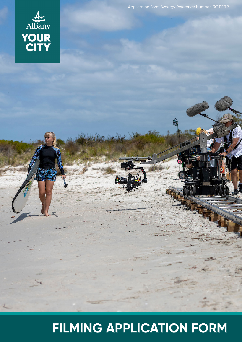# **FILMING APPLICATION FORM**



Application Form Synergy Reference Number: RC.PER.9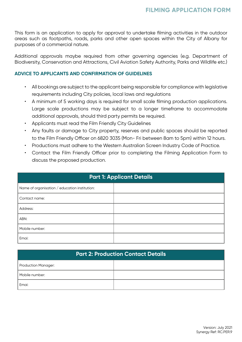This form is an application to apply for approval to undertake filming activities in the outdoor areas such as footpaths, roads, parks and other open spaces within the City of Albany for purposes of a commercial nature.

Additional approvals maybe required from other governing agencies (e.g. Department of Biodiversity, Conservation and Attractions, Civil Aviation Safety Authority, Parks and Wildlife etc.)

#### **ADVICE TO APPLICANTS AND CONFIRMATION OF GUIDELINES**

- All bookings are subject to the applicant being responsible for compliance with legislative requirements including City policies, local laws and regulations
- A minimum of 5 working days is required for small scale filming production applications. Large scale productions may be subject to a longer timeframe to accommodate additional approvals, should third party permits be required.
- Applicants must read the Film Friendly City Guidelines
- Any faults or damage to City property, reserves and public spaces should be reported to the Film Friendly Officer on 6820 3035 (Mon- Fri between 8am to 5pm) within 12 hours.
- Productions must adhere to the Western Australian Screen Industry Code of Practice.
- Contact the Film Friendly Officer prior to completing the Filming Application Form to discuss the proposed production.

| <b>Part 1: Applicant Details</b>              |  |  |
|-----------------------------------------------|--|--|
| Name of organisation / education institution: |  |  |
| Contact name:                                 |  |  |
| Address:                                      |  |  |
| ABN:                                          |  |  |
| Mobile number:                                |  |  |
| Emai:                                         |  |  |

| <b>Part 2: Production Contact Details</b> |  |  |  |
|-------------------------------------------|--|--|--|
| <b>Production Manager:</b>                |  |  |  |
| Mobile number:                            |  |  |  |
| Emai:                                     |  |  |  |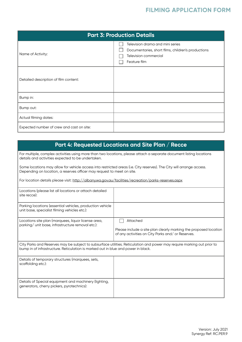## **FILMING APPLICATION FORM**

| <b>Part 3: Production Details</b>         |                                                                                                                                 |  |  |  |
|-------------------------------------------|---------------------------------------------------------------------------------------------------------------------------------|--|--|--|
| Name of Activity:                         | Television drama and mini series<br>Documentaries, short films, children's productions<br>Television commercial<br>Feature film |  |  |  |
| Detailed description of film content:     |                                                                                                                                 |  |  |  |
| Bump in:                                  |                                                                                                                                 |  |  |  |
| Bump out:                                 |                                                                                                                                 |  |  |  |
| Actual filming dates:                     |                                                                                                                                 |  |  |  |
| Expected number of crew and cast on site: |                                                                                                                                 |  |  |  |

# **Part 4: Requested Locations and Site Plan / Recce**

For multiple, complex activities using more than two locations, please attach a separate document listing locations details and activities expected to be undertaken.

Some locations may allow for vehicle access into restricted areas (i.e. City reserves). The City will arrange access. Depending on location, a reserves officer may request to meet on site.

For location details please visit: http://albany.wa.gov.au/facilities/recreation/parks-reserves.aspx

| Locations (please list all locations or attach detailed<br>site recce):                                                                                                                                      |                                                                                                                                   |  |  |
|--------------------------------------------------------------------------------------------------------------------------------------------------------------------------------------------------------------|-----------------------------------------------------------------------------------------------------------------------------------|--|--|
| Parking locations (essential vehicles, production vehicle<br>unit base, specialist filming vehicles etc.):                                                                                                   |                                                                                                                                   |  |  |
| Locations site plan (marquees, liquor license area,<br>parking/ unit base, infrastructure removal etc.):                                                                                                     | Attached<br>Please include a site plan clearly marking the proposed location<br>of any activities on City Parks and/ or Reserves. |  |  |
| City Parks and Reserves may be subject to subsurface utilities. Reticulation and power may require marking out prior to<br>bump in of infrastructure. Reticulation is marked out in blue and power in black. |                                                                                                                                   |  |  |
| Details of temporary structures (marquees, sets,<br>scaffolding etc.):                                                                                                                                       |                                                                                                                                   |  |  |
| Details of Special equipment and machinery (lighting,<br>generators, cherry pickers, pyrotechnics):                                                                                                          |                                                                                                                                   |  |  |